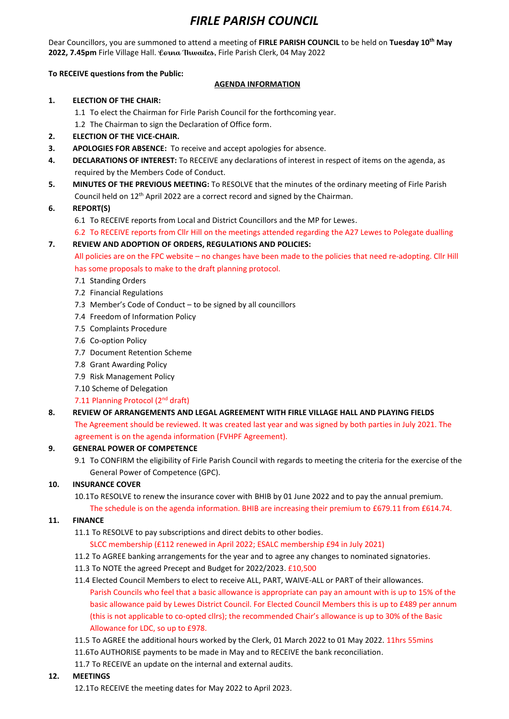# *FIRLE PARISH COUNCIL*

Dear Councillors, you are summoned to attend a meeting of **FIRLE PARISH COUNCIL** to be held on **Tuesday 10 th May**  2022, 7.45pm Firle Village Hall. Lorna Thwaites, Firle Parish Clerk, 04 May 2022

## **To RECEIVE questions from the Public:**

## **AGENDA INFORMATION**

- **1. ELECTION OF THE CHAIR:**
	- 1.1 To elect the Chairman for Firle Parish Council for the forthcoming year.
	- 1.2 The Chairman to sign the Declaration of Office form.
- **2. ELECTION OF THE VICE-CHAIR.**
- **3. APOLOGIES FOR ABSENCE:** To receive and accept apologies for absence.
- **4. DECLARATIONS OF INTEREST:** To RECEIVE any declarations of interest in respect of items on the agenda, as required by the Members Code of Conduct.
- **5. MINUTES OF THE PREVIOUS MEETING:** To RESOLVE that the minutes of the ordinary meeting of Firle Parish Council held on 12<sup>th</sup> April 2022 are a correct record and signed by the Chairman.

## **6. REPORT(S)**

- 6.1 To RECEIVE reports from Local and District Councillors and the MP for Lewes.
- 6.2 To RECEIVE reports from Cllr Hill on the meetings attended regarding the A27 Lewes to Polegate dualling

## **7. REVIEW AND ADOPTION OF ORDERS, REGULATIONS AND POLICIES:**

All policies are on the FPC website – no changes have been made to the policies that need re-adopting. Cllr Hill has some proposals to make to the draft planning protocol.

- 7.1 Standing Orders
- 7.2 Financial Regulations
- 7.3 Member's Code of Conduct to be signed by all councillors
- 7.4 Freedom of Information Policy
- 7.5 Complaints Procedure
- 7.6 Co-option Policy
- 7.7 Document Retention Scheme
- 7.8 Grant Awarding Policy
- 7.9 Risk Management Policy
- 7.10 Scheme of Delegation

#### 7.11 Planning Protocol (2<sup>nd</sup> draft)

**8. REVIEW OF ARRANGEMENTS AND LEGAL AGREEMENT WITH FIRLE VILLAGE HALL AND PLAYING FIELDS** The Agreement should be reviewed. It was created last year and was signed by both parties in July 2021. The agreement is on the agenda information (FVHPF Agreement).

#### **9. GENERAL POWER OF COMPETENCE**

9.1 To CONFIRM the eligibility of Firle Parish Council with regards to meeting the criteria for the exercise of the General Power of Competence (GPC).

## **10. INSURANCE COVER**

10.1To RESOLVE to renew the insurance cover with BHIB by 01 June 2022 and to pay the annual premium.

The schedule is on the agenda information. BHIB are increasing their premium to £679.11 from £614.74.

# **11. FINANCE**

11.1 To RESOLVE to pay subscriptions and direct debits to other bodies.

SLCC membership (£112 renewed in April 2022; ESALC membership £94 in July 2021)

- 11.2 To AGREE banking arrangements for the year and to agree any changes to nominated signatories.
- 11.3 To NOTE the agreed Precept and Budget for 2022/2023. £10,500
- 11.4 Elected Council Members to elect to receive ALL, PART, WAIVE-ALL or PART of their allowances. Parish Councils who feel that a basic allowance is appropriate can pay an amount with is up to 15% of the basic allowance paid by Lewes District Council. For Elected Council Members this is up to £489 per annum (this is not applicable to co-opted cllrs); the recommended Chair's allowance is up to 30% of the Basic Allowance for LDC, so up to £978.
- 11.5 To AGREE the additional hours worked by the Clerk, 01 March 2022 to 01 May 2022. 11hrs 55mins
- 11.6To AUTHORISE payments to be made in May and to RECEIVE the bank reconciliation.
- 11.7 To RECEIVE an update on the internal and external audits.

## **12. MEETINGS**

12.1To RECEIVE the meeting dates for May 2022 to April 2023.